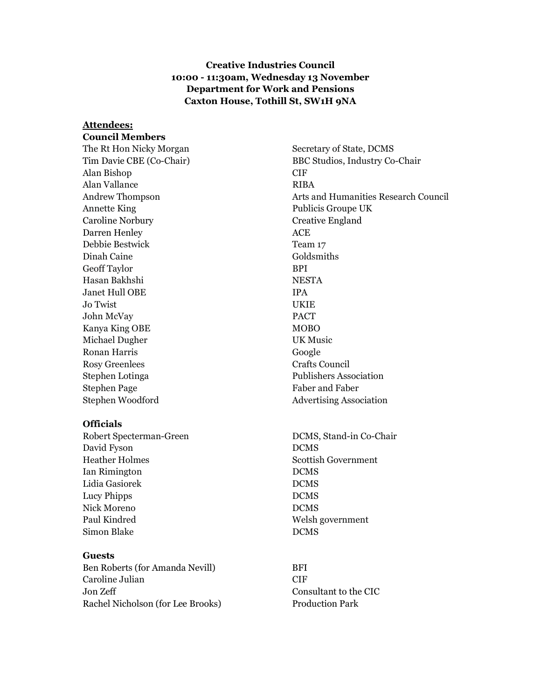### Creative Industries Council 10:00 - 11:30am, Wednesday 13 November Department for Work and Pensions Caxton House, Tothill St, SW1H 9NA

#### Attendees:

#### Council Members

Alan Bishop CIF Alan Vallance RIBA Annette King Publicis Groupe UK Caroline Norbury **Creative England** Darren Henley ACE Debbie Bestwick Team 17 Dinah Caine Goldsmiths Geoff Taylor BPI Hasan Bakhshi NESTA Janet Hull OBE **IPA** Jo Twist UKIE John McVay PACT Kanya King OBE MOBO Michael Dugher UK Music Ronan Harris Google Rosy Greenlees Crafts Council Stephen Lotinga Publishers Association Stephen Page Faber and Faber and Faber and Faber and Faber and Faber and Faber and Faber and Faber and Faber and Faber and Faber and Faber and Faber and Faber and Faber and Faber and Faber and Faber and Faber and Faber and Stephen Woodford Advertising Association

#### **Officials**

Robert Specterman-Green DCMS, Stand-in Co-Chair David Fyson DCMS Heather Holmes Scottish Government Ian Rimington DCMS Lidia Gasiorek DCMS Lucy Phipps DCMS Nick Moreno DCMS Paul Kindred Welsh government Simon Blake DCMS

#### Guests

Ben Roberts (for Amanda Nevill) BFI Caroline Julian CIF Jon Zeff Consultant to the CIC Rachel Nicholson (for Lee Brooks) Production Park

The Rt Hon Nicky Morgan Secretary of State, DCMS Tim Davie CBE (Co-Chair) BBC Studios, Industry Co-Chair Andrew Thompson Arts and Humanities Research Council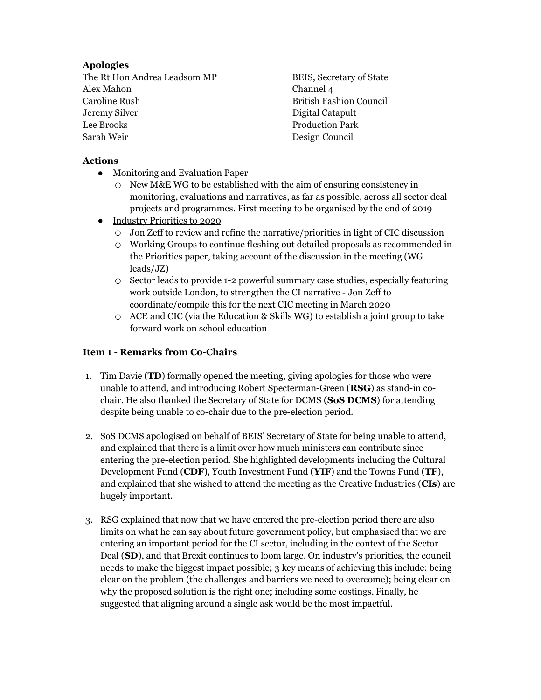# Apologies

The Rt Hon Andrea Leadsom MP BEIS, Secretary of State Alex Mahon Channel 4 Caroline Rush British Fashion Council Jeremy Silver Digital Catapult Lee Brooks Production Park Sarah Weir Design Council

# Actions

- Monitoring and Evaluation Paper
	- New M&E WG to be established with the aim of ensuring consistency in monitoring, evaluations and narratives, as far as possible, across all sector deal projects and programmes. First meeting to be organised by the end of 2019
- Industry Priorities to 2020
	- Jon Zeff to review and refine the narrative/priorities in light of CIC discussion
	- Working Groups to continue fleshing out detailed proposals as recommended in the Priorities paper, taking account of the discussion in the meeting (WG leads/JZ)
	- Sector leads to provide 1-2 powerful summary case studies, especially featuring work outside London, to strengthen the CI narrative - Jon Zeff to coordinate/compile this for the next CIC meeting in March 2020
	- ACE and CIC (via the Education & Skills WG) to establish a joint group to take forward work on school education

# Item 1 - Remarks from Co-Chairs

- 1. Tim Davie (TD) formally opened the meeting, giving apologies for those who were unable to attend, and introducing Robert Specterman-Green (RSG) as stand-in cochair. He also thanked the Secretary of State for DCMS (SoS DCMS) for attending despite being unable to co-chair due to the pre-election period.
- 2. SoS DCMS apologised on behalf of BEIS' Secretary of State for being unable to attend, and explained that there is a limit over how much ministers can contribute since entering the pre-election period. She highlighted developments including the Cultural Development Fund (CDF), Youth Investment Fund (YIF) and the Towns Fund (TF), and explained that she wished to attend the meeting as the Creative Industries (CIs) are hugely important.
- 3. RSG explained that now that we have entered the pre-election period there are also limits on what he can say about future government policy, but emphasised that we are entering an important period for the CI sector, including in the context of the Sector Deal (SD), and that Brexit continues to loom large. On industry's priorities, the council needs to make the biggest impact possible; 3 key means of achieving this include: being clear on the problem (the challenges and barriers we need to overcome); being clear on why the proposed solution is the right one; including some costings. Finally, he suggested that aligning around a single ask would be the most impactful.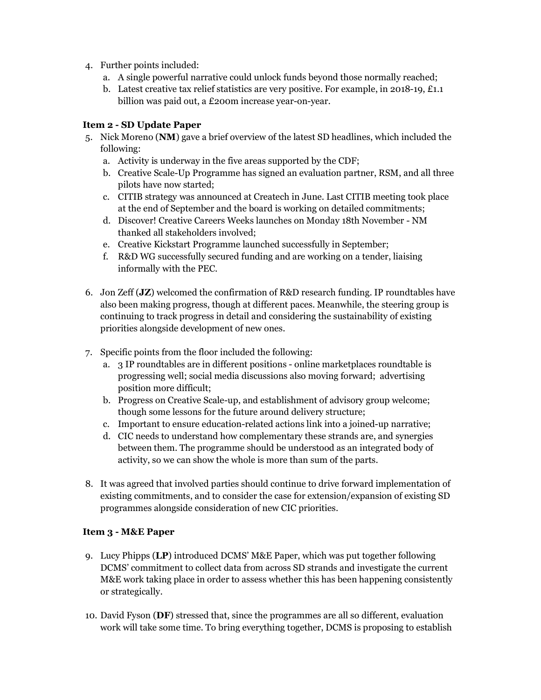- 4. Further points included:
	- a. A single powerful narrative could unlock funds beyond those normally reached;
	- b. Latest creative tax relief statistics are very positive. For example, in 2018-19, £1.1 billion was paid out, a £200m increase year-on-year.

### Item 2 - SD Update Paper

- 5. Nick Moreno (NM) gave a brief overview of the latest SD headlines, which included the following:
	- a. Activity is underway in the five areas supported by the CDF;
	- b. Creative Scale-Up Programme has signed an evaluation partner, RSM, and all three pilots have now started;
	- c. CITIB strategy was announced at Createch in June. Last CITIB meeting took place at the end of September and the board is working on detailed commitments;
	- d. Discover! Creative Careers Weeks launches on Monday 18th November NM thanked all stakeholders involved;
	- e. Creative Kickstart Programme launched successfully in September;
	- f. R&D WG successfully secured funding and are working on a tender, liaising informally with the PEC.
- 6. Jon Zeff (JZ) welcomed the confirmation of R&D research funding. IP roundtables have also been making progress, though at different paces. Meanwhile, the steering group is continuing to track progress in detail and considering the sustainability of existing priorities alongside development of new ones.
- 7. Specific points from the floor included the following:
	- a. 3 IP roundtables are in different positions online marketplaces roundtable is progressing well; social media discussions also moving forward; advertising position more difficult;
	- b. Progress on Creative Scale-up, and establishment of advisory group welcome; though some lessons for the future around delivery structure;
	- c. Important to ensure education-related actions link into a joined-up narrative;
	- d. CIC needs to understand how complementary these strands are, and synergies between them. The programme should be understood as an integrated body of activity, so we can show the whole is more than sum of the parts.
- 8. It was agreed that involved parties should continue to drive forward implementation of existing commitments, and to consider the case for extension/expansion of existing SD programmes alongside consideration of new CIC priorities.

#### Item 3 - M&E Paper

- 9. Lucy Phipps (LP) introduced DCMS' M&E Paper, which was put together following DCMS' commitment to collect data from across SD strands and investigate the current M&E work taking place in order to assess whether this has been happening consistently or strategically.
- 10. David Fyson (DF) stressed that, since the programmes are all so different, evaluation work will take some time. To bring everything together, DCMS is proposing to establish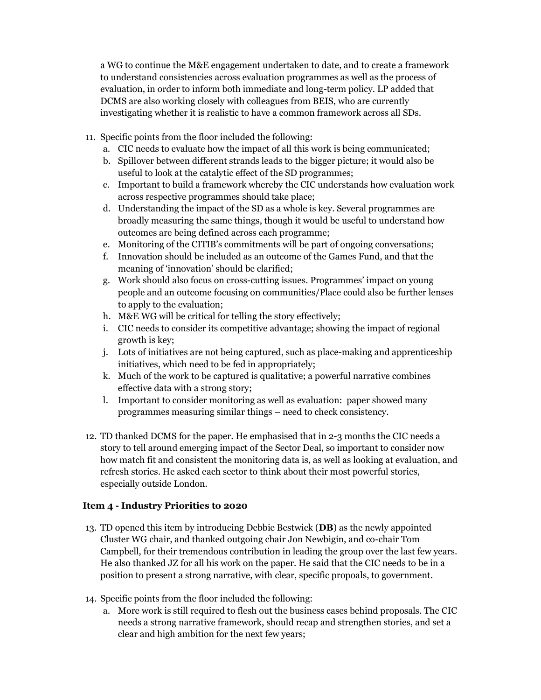a WG to continue the M&E engagement undertaken to date, and to create a framework to understand consistencies across evaluation programmes as well as the process of evaluation, in order to inform both immediate and long-term policy. LP added that DCMS are also working closely with colleagues from BEIS, who are currently investigating whether it is realistic to have a common framework across all SDs.

- 11. Specific points from the floor included the following:
	- a. CIC needs to evaluate how the impact of all this work is being communicated;
	- b. Spillover between different strands leads to the bigger picture; it would also be useful to look at the catalytic effect of the SD programmes;
	- c. Important to build a framework whereby the CIC understands how evaluation work across respective programmes should take place;
	- d. Understanding the impact of the SD as a whole is key. Several programmes are broadly measuring the same things, though it would be useful to understand how outcomes are being defined across each programme;
	- e. Monitoring of the CITIB's commitments will be part of ongoing conversations;
	- f. Innovation should be included as an outcome of the Games Fund, and that the meaning of 'innovation' should be clarified;
	- g. Work should also focus on cross-cutting issues. Programmes' impact on young people and an outcome focusing on communities/Place could also be further lenses to apply to the evaluation;
	- h. M&E WG will be critical for telling the story effectively;
	- i. CIC needs to consider its competitive advantage; showing the impact of regional growth is key;
	- j. Lots of initiatives are not being captured, such as place-making and apprenticeship initiatives, which need to be fed in appropriately;
	- k. Much of the work to be captured is qualitative; a powerful narrative combines effective data with a strong story;
	- l. Important to consider monitoring as well as evaluation: paper showed many programmes measuring similar things – need to check consistency.
- 12. TD thanked DCMS for the paper. He emphasised that in 2-3 months the CIC needs a story to tell around emerging impact of the Sector Deal, so important to consider now how match fit and consistent the monitoring data is, as well as looking at evaluation, and refresh stories. He asked each sector to think about their most powerful stories, especially outside London.

## Item 4 - Industry Priorities to 2020

- 13. TD opened this item by introducing Debbie Bestwick (DB) as the newly appointed Cluster WG chair, and thanked outgoing chair Jon Newbigin, and co-chair Tom Campbell, for their tremendous contribution in leading the group over the last few years. He also thanked JZ for all his work on the paper. He said that the CIC needs to be in a position to present a strong narrative, with clear, specific propoals, to government.
- 14. Specific points from the floor included the following:
	- a. More work is still required to flesh out the business cases behind proposals. The CIC needs a strong narrative framework, should recap and strengthen stories, and set a clear and high ambition for the next few years;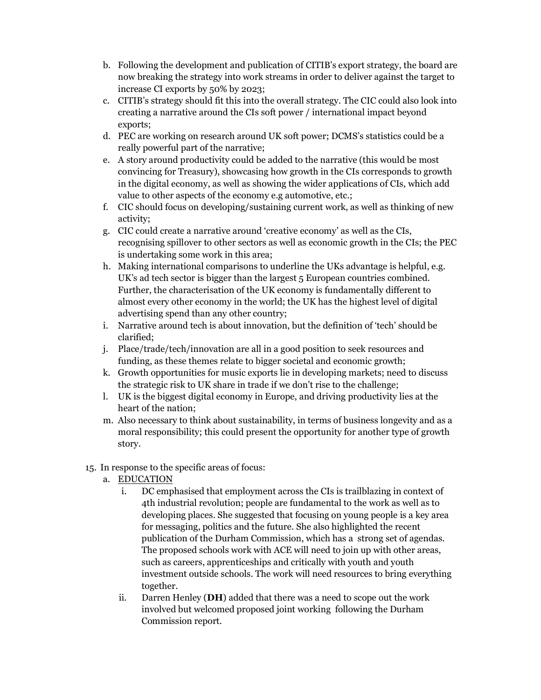- b. Following the development and publication of CITIB's export strategy, the board are now breaking the strategy into work streams in order to deliver against the target to increase CI exports by 50% by 2023;
- c. CITIB's strategy should fit this into the overall strategy. The CIC could also look into creating a narrative around the CIs soft power / international impact beyond exports;
- d. PEC are working on research around UK soft power; DCMS's statistics could be a really powerful part of the narrative;
- e. A story around productivity could be added to the narrative (this would be most convincing for Treasury), showcasing how growth in the CIs corresponds to growth in the digital economy, as well as showing the wider applications of CIs, which add value to other aspects of the economy e.g automotive, etc.;
- f. CIC should focus on developing/sustaining current work, as well as thinking of new activity;
- g. CIC could create a narrative around 'creative economy' as well as the CIs, recognising spillover to other sectors as well as economic growth in the CIs; the PEC is undertaking some work in this area;
- h. Making international comparisons to underline the UKs advantage is helpful, e.g. UK's ad tech sector is bigger than the largest 5 European countries combined. Further, the characterisation of the UK economy is fundamentally different to almost every other economy in the world; the UK has the highest level of digital advertising spend than any other country;
- i. Narrative around tech is about innovation, but the definition of 'tech' should be clarified;
- j. Place/trade/tech/innovation are all in a good position to seek resources and funding, as these themes relate to bigger societal and economic growth;
- k. Growth opportunities for music exports lie in developing markets; need to discuss the strategic risk to UK share in trade if we don't rise to the challenge;
- l. UK is the biggest digital economy in Europe, and driving productivity lies at the heart of the nation;
- m. Also necessary to think about sustainability, in terms of business longevity and as a moral responsibility; this could present the opportunity for another type of growth story.
- 15. In response to the specific areas of focus:
	- a. EDUCATION
		- i. DC emphasised that employment across the CIs is trailblazing in context of 4th industrial revolution; people are fundamental to the work as well as to developing places. She suggested that focusing on young people is a key area for messaging, politics and the future. She also highlighted the recent publication of the Durham Commission, which has a strong set of agendas. The proposed schools work with ACE will need to join up with other areas, such as careers, apprenticeships and critically with youth and youth investment outside schools. The work will need resources to bring everything together.
		- ii. Darren Henley (DH) added that there was a need to scope out the work involved but welcomed proposed joint working following the Durham Commission report.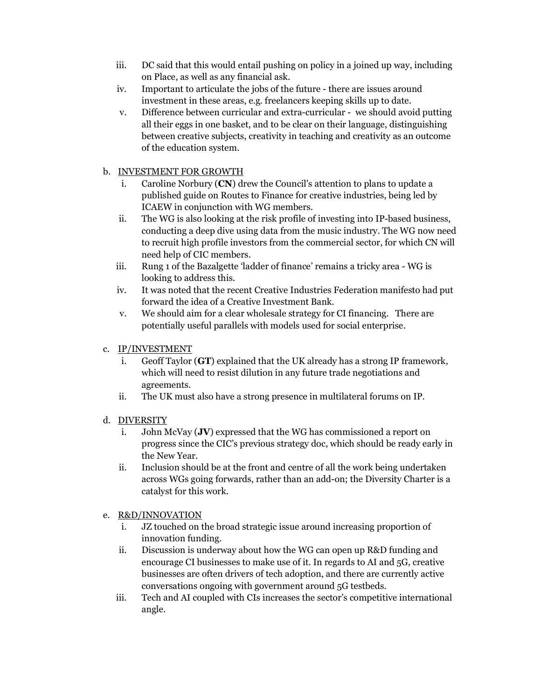- iii. DC said that this would entail pushing on policy in a joined up way, including on Place, as well as any financial ask.
- iv. Important to articulate the jobs of the future there are issues around investment in these areas, e.g. freelancers keeping skills up to date.
- v. Difference between curricular and extra-curricular we should avoid putting all their eggs in one basket, and to be clear on their language, distinguishing between creative subjects, creativity in teaching and creativity as an outcome of the education system.

# b. INVESTMENT FOR GROWTH

- i. Caroline Norbury (CN) drew the Council's attention to plans to update a published guide on Routes to Finance for creative industries, being led by ICAEW in conjunction with WG members.
- ii. The WG is also looking at the risk profile of investing into IP-based business, conducting a deep dive using data from the music industry. The WG now need to recruit high profile investors from the commercial sector, for which CN will need help of CIC members.
- iii. Rung 1 of the Bazalgette 'ladder of finance' remains a tricky area WG is looking to address this.
- iv. It was noted that the recent Creative Industries Federation manifesto had put forward the idea of a Creative Investment Bank.
- v. We should aim for a clear wholesale strategy for CI financing. There are potentially useful parallels with models used for social enterprise.

# c. IP/INVESTMENT

- i. Geoff Taylor (GT) explained that the UK already has a strong IP framework, which will need to resist dilution in any future trade negotiations and agreements.
- ii. The UK must also have a strong presence in multilateral forums on IP.

## d. DIVERSITY

- i. John McVay (JV) expressed that the WG has commissioned a report on progress since the CIC's previous strategy doc, which should be ready early in the New Year.
- ii. Inclusion should be at the front and centre of all the work being undertaken across WGs going forwards, rather than an add-on; the Diversity Charter is a catalyst for this work.

## e. R&D/INNOVATION

- i. JZ touched on the broad strategic issue around increasing proportion of innovation funding.
- ii. Discussion is underway about how the WG can open up R&D funding and encourage CI businesses to make use of it. In regards to AI and 5G, creative businesses are often drivers of tech adoption, and there are currently active conversations ongoing with government around 5G testbeds.
- iii. Tech and AI coupled with CIs increases the sector's competitive international angle.